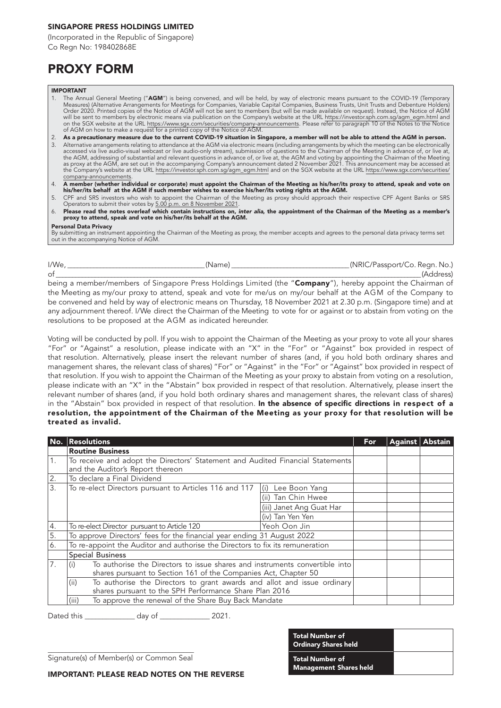### SINGAPORE PRESS HOLDINGS LIMITED

(Incorporated in the Republic of Singapore) Co Regn No: 198402868E

## PROXY FORM

#### IMPORTANT

- 1. The Annual General Meeting ("**AGM**") is being convened, and will be held, by way of electronic means pursuant to the COVID-19 (Temporary<br>Measures) (Alternative Arrangements for Meetings for Companies, Variable Capital C will be sent to members by electronic means via publication on the Company's website at the URL <u>https://investor.sph.com.sg/agm\_egm.htm</u>l and<br>on the SGX website at the URL <u>https://www.sgx.com/securities/company-announcem</u>
- 2. As a precautionary measure due to the current COVID-19 situation in Singapore, a member will not be able to attend the AGM in person. 3. Alternative arrangements relating to attendance at the AGM via electronic means (including arrangements by which the meeting can be electronically<br>, accessed via live audio-visual webcast or live audio-only stream), sub the AGM, addressing of substantial and relevant questions in advance of, or live at, the AGM and voting by appointing the Chairman of the Meeting<br>as proxy at the AGM, are set out in the accompanying Company's announcement the Company's website at the URL [https://investor.sph.com.sg/agm\\_egm.html a](https://investor.sph.com.sg/agm_egm.html)nd on the SGX website at the URL [https://www.sgx.com/securities/](https://www.sgx.com/securities/company-announcements) [company-announcements.](https://www.sgx.com/securities/company-announcements)
- 4. A member (whether individual or corporate) must appoint the Chairman of the Meeting as his/her/its proxy to attend, speak and vote on his/her/its behalf at the AGM if such member wishes to exercise his/her/its voting rights at the AGM.
- 5. CPF and SRS investors who wish to appoint the Chairman of the Meeting as proxy should approach their respective CPF Agent Banks or SRS Operators to submit their votes by 5.00 p.m. on 8 November 2021.
- 6. Please read the notes overleaf which contain instructions on, *inter alia*, the appointment of the Chairman of the Meeting as a member's proxy to attend, speak and vote on his/her/its behalf at the AGM.

Personal Data Privacy By submitting an instrument appointing the Chairman of the Meeting as proxy, the member accepts and agrees to the personal data privacy terms set out in the accompanying Notice of AGM.

I/We, \_\_\_\_\_\_\_\_\_\_\_\_\_\_\_\_\_\_\_\_\_\_\_\_\_\_\_\_\_\_\_\_\_\_\_\_\_\_\_\_\_\_ (Name) \_\_\_\_\_\_\_\_\_\_\_\_\_\_\_\_\_\_\_\_\_\_\_\_\_\_\_\_\_\_\_\_\_\_\_\_ (NRIC/Passport/Co. Regn. No.) of \_\_\_\_\_\_\_\_\_\_\_\_\_\_\_\_\_\_\_\_\_\_\_\_\_\_\_\_\_\_\_\_\_\_\_\_\_\_\_\_\_\_\_\_\_\_\_\_\_\_\_\_\_\_\_\_\_\_\_\_\_\_\_\_\_\_\_\_\_\_\_\_\_\_\_\_\_\_\_\_\_\_\_\_\_\_\_\_\_\_\_\_\_\_\_\_\_\_\_\_\_\_\_\_\_\_\_\_\_\_\_\_ (Address) being a member/members of Singapore Press Holdings Limited (the "Company"), hereby appoint the Chairman of

the Meeting as my/our proxy to attend, speak and vote for me/us on my/our behalf at the AGM of the Company to be convened and held by way of electronic means on Thursday, 18 November 2021 at 2.30 p.m. (Singapore time) and at any adjournment thereof. I/We direct the Chairman of the Meeting to vote for or against or to abstain from voting on the resolutions to be proposed at the AGM as indicated hereunder.

Voting will be conducted by poll. If you wish to appoint the Chairman of the Meeting as your proxy to vote all your shares "For" or "Against" a resolution, please indicate with an "X" in the "For" or "Against" box provided in respect of that resolution. Alternatively, please insert the relevant number of shares (and, if you hold both ordinary shares and management shares, the relevant class of shares) "For" or "Against" in the "For" or "Against" box provided in respect of that resolution. If you wish to appoint the Chairman of the Meeting as your proxy to abstain from voting on a resolution, please indicate with an "X" in the "Abstain" box provided in respect of that resolution. Alternatively, please insert the relevant number of shares (and, if you hold both ordinary shares and management shares, the relevant class of shares) in the "Abstain" box provided in respect of that resolution. In the absence of specific directions in respect of a resolution, the appointment of the Chairman of the Meeting as your proxy for that resolution will be treated as invalid.

|    | <b>Resolutions</b>                                                                                                                                                                                                                                                                                                                                                  |                          | For | Against   Abstain |  |
|----|---------------------------------------------------------------------------------------------------------------------------------------------------------------------------------------------------------------------------------------------------------------------------------------------------------------------------------------------------------------------|--------------------------|-----|-------------------|--|
|    | <b>Routine Business</b>                                                                                                                                                                                                                                                                                                                                             |                          |     |                   |  |
| 1. | To receive and adopt the Directors' Statement and Audited Financial Statements<br>and the Auditor's Report thereon                                                                                                                                                                                                                                                  |                          |     |                   |  |
| 2. | To declare a Final Dividend                                                                                                                                                                                                                                                                                                                                         |                          |     |                   |  |
| 3. | To re-elect Directors pursuant to Articles 116 and 117                                                                                                                                                                                                                                                                                                              | (i) Lee Boon Yang        |     |                   |  |
|    |                                                                                                                                                                                                                                                                                                                                                                     | (ii) Tan Chin Hwee       |     |                   |  |
|    |                                                                                                                                                                                                                                                                                                                                                                     | (iii) Janet Ang Guat Har |     |                   |  |
|    |                                                                                                                                                                                                                                                                                                                                                                     | (iv) Tan Yen Yen         |     |                   |  |
| 4. | To re-elect Director pursuant to Article 120                                                                                                                                                                                                                                                                                                                        | Yeoh Oon Jin             |     |                   |  |
| 5. | To approve Directors' fees for the financial year ending 31 August 2022                                                                                                                                                                                                                                                                                             |                          |     |                   |  |
| 6. | To re-appoint the Auditor and authorise the Directors to fix its remuneration                                                                                                                                                                                                                                                                                       |                          |     |                   |  |
|    | <b>Special Business</b>                                                                                                                                                                                                                                                                                                                                             |                          |     |                   |  |
| 7. | To authorise the Directors to issue shares and instruments convertible into<br>(i)<br>shares pursuant to Section 161 of the Companies Act, Chapter 50<br>To authorise the Directors to grant awards and allot and issue ordinary<br>(ii)<br>shares pursuant to the SPH Performance Share Plan 2016<br>To approve the renewal of the Share Buy Back Mandate<br>(iii) |                          |     |                   |  |
|    |                                                                                                                                                                                                                                                                                                                                                                     |                          |     |                   |  |
|    |                                                                                                                                                                                                                                                                                                                                                                     |                          |     |                   |  |

Dated this day of 2021.

\_\_\_\_\_\_\_\_\_\_\_\_\_\_\_\_\_\_\_\_\_\_\_\_\_\_\_\_\_\_\_\_\_\_\_\_\_\_\_\_\_ Signature(s) of Member(s) or Common Seal

### Total Number of Ordinary Shares held Total Number of Management Shares held

IMPORTANT: PLEASE READ NOTES ON THE REVERSE